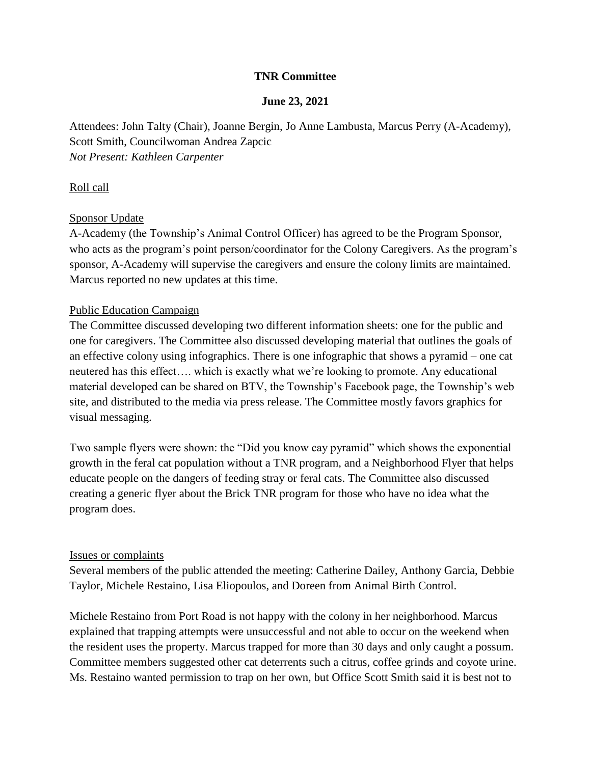# **TNR Committee**

## **June 23, 2021**

Attendees: John Talty (Chair), Joanne Bergin, Jo Anne Lambusta, Marcus Perry (A-Academy), Scott Smith, Councilwoman Andrea Zapcic *Not Present: Kathleen Carpenter*

### Roll call

## Sponsor Update

A-Academy (the Township's Animal Control Officer) has agreed to be the Program Sponsor, who acts as the program's point person/coordinator for the Colony Caregivers. As the program's sponsor, A-Academy will supervise the caregivers and ensure the colony limits are maintained. Marcus reported no new updates at this time.

#### Public Education Campaign

The Committee discussed developing two different information sheets: one for the public and one for caregivers. The Committee also discussed developing material that outlines the goals of an effective colony using infographics. There is one infographic that shows a pyramid – one cat neutered has this effect…. which is exactly what we're looking to promote. Any educational material developed can be shared on BTV, the Township's Facebook page, the Township's web site, and distributed to the media via press release. The Committee mostly favors graphics for visual messaging.

Two sample flyers were shown: the "Did you know cay pyramid" which shows the exponential growth in the feral cat population without a TNR program, and a Neighborhood Flyer that helps educate people on the dangers of feeding stray or feral cats. The Committee also discussed creating a generic flyer about the Brick TNR program for those who have no idea what the program does.

#### Issues or complaints

Several members of the public attended the meeting: Catherine Dailey, Anthony Garcia, Debbie Taylor, Michele Restaino, Lisa Eliopoulos, and Doreen from Animal Birth Control.

Michele Restaino from Port Road is not happy with the colony in her neighborhood. Marcus explained that trapping attempts were unsuccessful and not able to occur on the weekend when the resident uses the property. Marcus trapped for more than 30 days and only caught a possum. Committee members suggested other cat deterrents such a citrus, coffee grinds and coyote urine. Ms. Restaino wanted permission to trap on her own, but Office Scott Smith said it is best not to